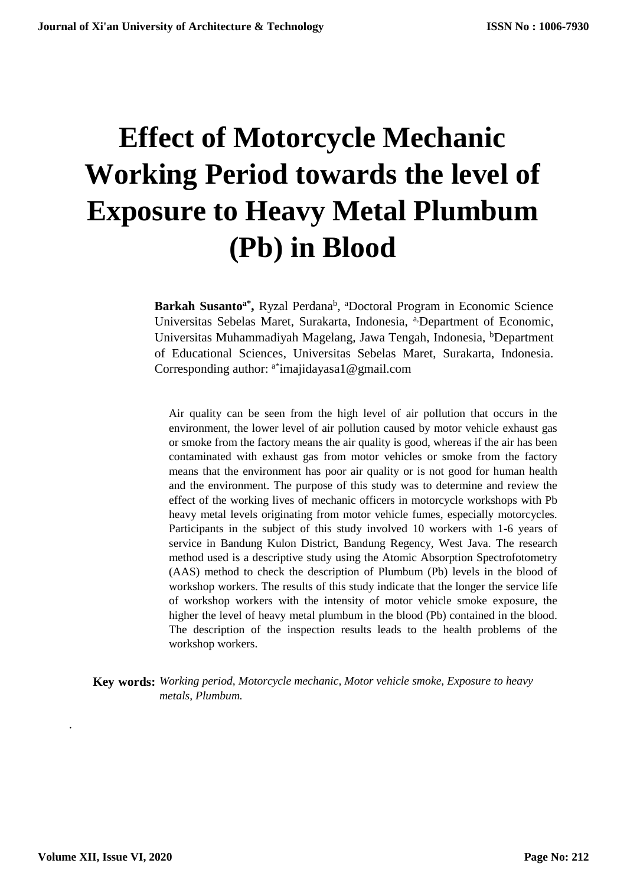# **Effect of Motorcycle Mechanic Working Period towards the level of Exposure to Heavy Metal Plumbum (Pb) in Blood**

Barkah Susanto<sup>a\*</sup>, Ryzal Perdana<sup>b</sup>, <sup>a</sup>Doctoral Program in Economic Science Universitas Sebelas Maret, Surakarta, Indonesia, a<sub>Department of Economic,</sub> Universitas Muhammadiyah Magelang, Jawa Tengah, Indonesia, <sup>b</sup>Department of Educational Sciences, Universitas Sebelas Maret, Surakarta, Indonesia. Corresponding author: <sup>a\*</sup>[imajidayasa1@gmail.com](mailto:imajidayasa1@gmail.com)

Air quality can be seen from the high level of air pollution that occurs in the environment, the lower level of air pollution caused by motor vehicle exhaust gas or smoke from the factory means the air quality is good, whereas if the air has been contaminated with exhaust gas from motor vehicles or smoke from the factory means that the environment has poor air quality or is not good for human health and the environment. The purpose of this study was to determine and review the effect of the working lives of mechanic officers in motorcycle workshops with Pb heavy metal levels originating from motor vehicle fumes, especially motorcycles. Participants in the subject of this study involved 10 workers with 1-6 years of service in Bandung Kulon District, Bandung Regency, West Java. The research method used is a descriptive study using the Atomic Absorption Spectrofotometry (AAS) method to check the description of Plumbum (Pb) levels in the blood of workshop workers. The results of this study indicate that the longer the service life of workshop workers with the intensity of motor vehicle smoke exposure, the higher the level of heavy metal plumbum in the blood (Pb) contained in the blood. The description of the inspection results leads to the health problems of the workshop workers.

**Key words:** *Working period, Motorcycle mechanic, Motor vehicle smoke, Exposure to heavy metals, Plumbum.*

*.*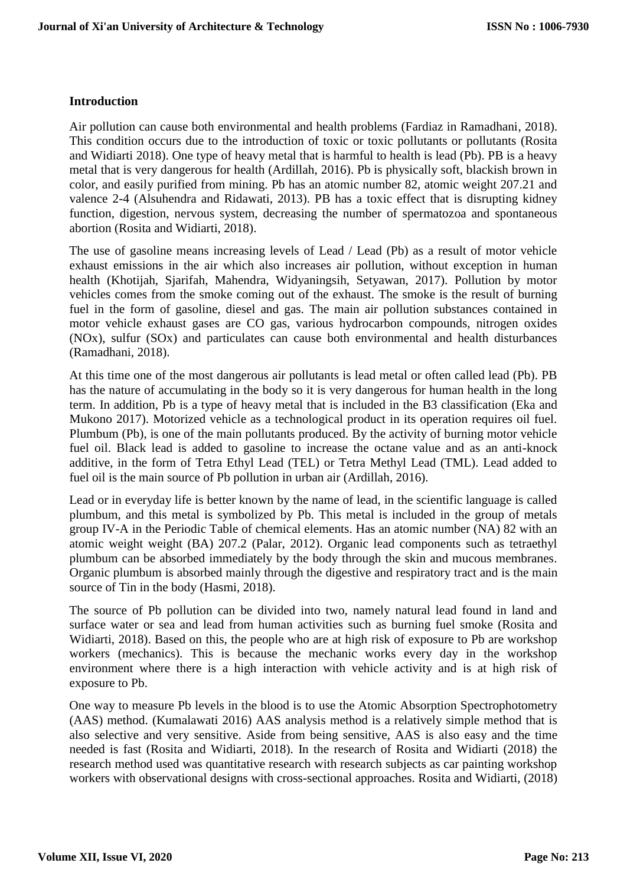#### **Introduction**

Air pollution can cause both environmental and health problems (Fardiaz in Ramadhani, 2018). This condition occurs due to the introduction of toxic or toxic pollutants or pollutants (Rosita and Widiarti 2018). One type of heavy metal that is harmful to health is lead (Pb). PB is a heavy metal that is very dangerous for health (Ardillah, 2016). Pb is physically soft, blackish brown in color, and easily purified from mining. Pb has an atomic number 82, atomic weight 207.21 and valence 2-4 (Alsuhendra and Ridawati, 2013). PB has a toxic effect that is disrupting kidney function, digestion, nervous system, decreasing the number of spermatozoa and spontaneous abortion (Rosita and Widiarti, 2018).

The use of gasoline means increasing levels of Lead / Lead (Pb) as a result of motor vehicle exhaust emissions in the air which also increases air pollution, without exception in human health (Khotijah, Sjarifah, Mahendra, Widyaningsih, Setyawan, 2017). Pollution by motor vehicles comes from the smoke coming out of the exhaust. The smoke is the result of burning fuel in the form of gasoline, diesel and gas. The main air pollution substances contained in motor vehicle exhaust gases are CO gas, various hydrocarbon compounds, nitrogen oxides (NOx), sulfur (SOx) and particulates can cause both environmental and health disturbances (Ramadhani, 2018).

At this time one of the most dangerous air pollutants is lead metal or often called lead (Pb). PB has the nature of accumulating in the body so it is very dangerous for human health in the long term. In addition, Pb is a type of heavy metal that is included in the B3 classification (Eka and Mukono 2017). Motorized vehicle as a technological product in its operation requires oil fuel. Plumbum (Pb), is one of the main pollutants produced. By the activity of burning motor vehicle fuel oil. Black lead is added to gasoline to increase the octane value and as an anti-knock additive, in the form of Tetra Ethyl Lead (TEL) or Tetra Methyl Lead (TML). Lead added to fuel oil is the main source of Pb pollution in urban air (Ardillah, 2016).

Lead or in everyday life is better known by the name of lead, in the scientific language is called plumbum, and this metal is symbolized by Pb. This metal is included in the group of metals group IV-A in the Periodic Table of chemical elements. Has an atomic number (NA) 82 with an atomic weight weight (BA) 207.2 (Palar, 2012). Organic lead components such as tetraethyl plumbum can be absorbed immediately by the body through the skin and mucous membranes. Organic plumbum is absorbed mainly through the digestive and respiratory tract and is the main source of Tin in the body (Hasmi, 2018).

The source of Pb pollution can be divided into two, namely natural lead found in land and surface water or sea and lead from human activities such as burning fuel smoke (Rosita and Widiarti, 2018). Based on this, the people who are at high risk of exposure to Pb are workshop workers (mechanics). This is because the mechanic works every day in the workshop environment where there is a high interaction with vehicle activity and is at high risk of exposure to Pb.

One way to measure Pb levels in the blood is to use the Atomic Absorption Spectrophotometry (AAS) method. (Kumalawati 2016) AAS analysis method is a relatively simple method that is also selective and very sensitive. Aside from being sensitive, AAS is also easy and the time needed is fast (Rosita and Widiarti, 2018). In the research of Rosita and Widiarti (2018) the research method used was quantitative research with research subjects as car painting workshop workers with observational designs with cross-sectional approaches. Rosita and Widiarti, (2018)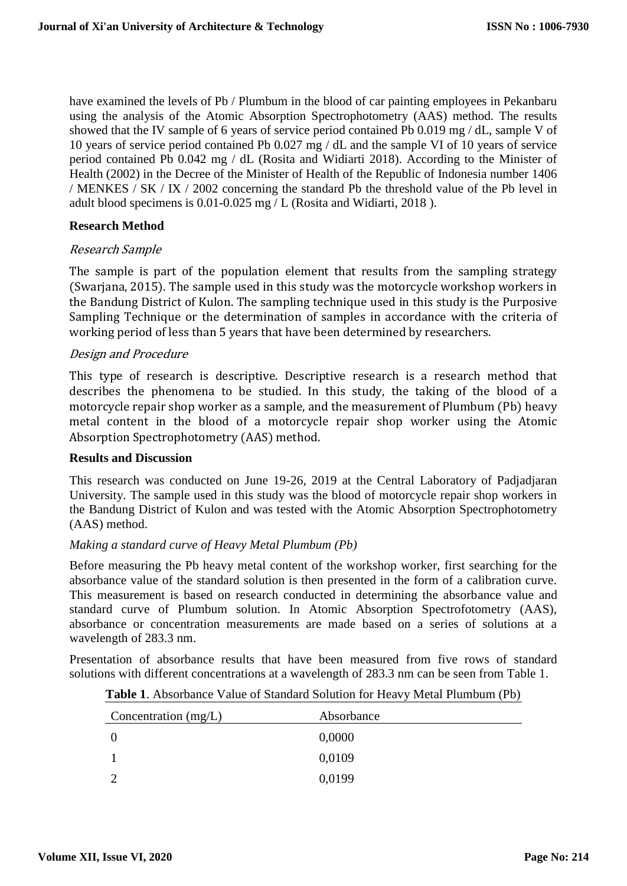have examined the levels of Pb / Plumbum in the blood of car painting employees in Pekanbaru using the analysis of the Atomic Absorption Spectrophotometry (AAS) method. The results showed that the IV sample of 6 years of service period contained Pb 0.019 mg / dL, sample V of 10 years of service period contained Pb 0.027 mg / dL and the sample VI of 10 years of service period contained Pb 0.042 mg / dL (Rosita and Widiarti 2018). According to the Minister of Health (2002) in the Decree of the Minister of Health of the Republic of Indonesia number 1406 / MENKES / SK / IX / 2002 concerning the standard Pb the threshold value of the Pb level in adult blood specimens is 0.01-0.025 mg / L (Rosita and Widiarti, 2018 ).

## **Research Method**

## Research Sample

The sample is part of the population element that results from the sampling strategy (Swarjana, 2015). The sample used in this study was the motorcycle workshop workers in the Bandung District of Kulon. The sampling technique used in this study is the Purposive Sampling Technique or the determination of samples in accordance with the criteria of working period of less than 5 years that have been determined by researchers.

## Design and Procedure

This type of research is descriptive. Descriptive research is a research method that describes the phenomena to be studied. In this study, the taking of the blood of a motorcycle repair shop worker as a sample, and the measurement of Plumbum (Pb) heavy metal content in the blood of a motorcycle repair shop worker using the Atomic Absorption Spectrophotometry (AAS) method.

#### **Results and Discussion**

This research was conducted on June 19-26, 2019 at the Central Laboratory of Padjadjaran University. The sample used in this study was the blood of motorcycle repair shop workers in the Bandung District of Kulon and was tested with the Atomic Absorption Spectrophotometry (AAS) method.

#### *Making a standard curve of Heavy Metal Plumbum (Pb)*

Before measuring the Pb heavy metal content of the workshop worker, first searching for the absorbance value of the standard solution is then presented in the form of a calibration curve. This measurement is based on research conducted in determining the absorbance value and standard curve of Plumbum solution. In Atomic Absorption Spectrofotometry (AAS), absorbance or concentration measurements are made based on a series of solutions at a wavelength of 283.3 nm.

Presentation of absorbance results that have been measured from five rows of standard solutions with different concentrations at a wavelength of 283.3 nm can be seen from Table 1.

| Concentration (mg/L) | Absorbance |
|----------------------|------------|
|                      | 0,0000     |
|                      | 0,0109     |
|                      | 0,0199     |

| Table 1. Absorbance Value of Standard Solution for Heavy Metal Plumbum (Pb) |  |  |
|-----------------------------------------------------------------------------|--|--|
|                                                                             |  |  |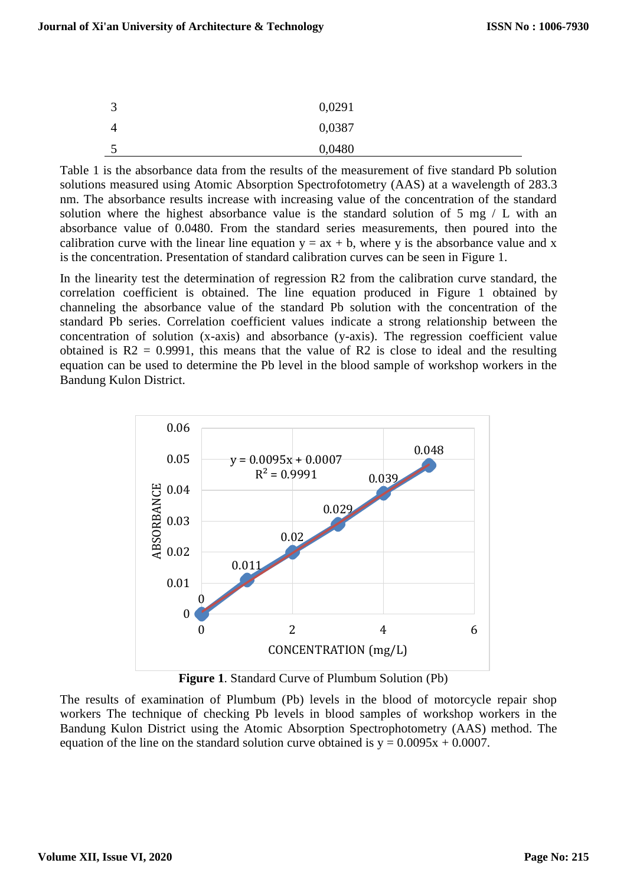| 3 | 0,0291 |
|---|--------|
| 4 | 0,0387 |
| ັ | 0,0480 |

Table 1 is the absorbance data from the results of the measurement of five standard Pb solution solutions measured using Atomic Absorption Spectrofotometry (AAS) at a wavelength of 283.3 nm. The absorbance results increase with increasing value of the concentration of the standard solution where the highest absorbance value is the standard solution of  $5 \text{ mg} / L$  with an absorbance value of 0.0480. From the standard series measurements, then poured into the calibration curve with the linear line equation  $y = ax + b$ , where y is the absorbance value and x is the concentration. Presentation of standard calibration curves can be seen in Figure 1.

In the linearity test the determination of regression R2 from the calibration curve standard, the correlation coefficient is obtained. The line equation produced in Figure 1 obtained by channeling the absorbance value of the standard Pb solution with the concentration of the standard Pb series. Correlation coefficient values indicate a strong relationship between the concentration of solution (x-axis) and absorbance (y-axis). The regression coefficient value obtained is  $R2 = 0.9991$ , this means that the value of  $R2$  is close to ideal and the resulting equation can be used to determine the Pb level in the blood sample of workshop workers in the Bandung Kulon District.



**Figure 1**. Standard Curve of Plumbum Solution (Pb)

The results of examination of Plumbum (Pb) levels in the blood of motorcycle repair shop workers The technique of checking Pb levels in blood samples of workshop workers in the Bandung Kulon District using the Atomic Absorption Spectrophotometry (AAS) method. The equation of the line on the standard solution curve obtained is  $y = 0.0095x + 0.0007$ .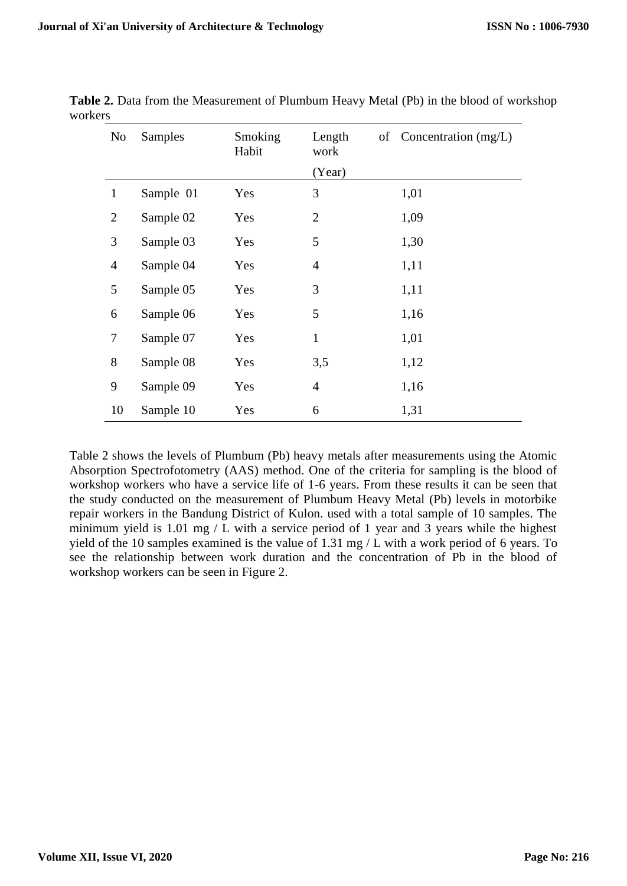| No             | Samples   | Smoking<br>Habit | Length<br>work | of Concentration (mg/L) |
|----------------|-----------|------------------|----------------|-------------------------|
|                |           |                  | (Year)         |                         |
| $\mathbf{1}$   | Sample 01 | Yes              | 3              | 1,01                    |
| $\overline{2}$ | Sample 02 | Yes              | $\overline{2}$ | 1,09                    |
| 3              | Sample 03 | Yes              | 5              | 1,30                    |
| $\overline{4}$ | Sample 04 | Yes              | $\overline{4}$ | 1,11                    |
| 5              | Sample 05 | Yes              | 3              | 1,11                    |
| 6              | Sample 06 | Yes              | 5              | 1,16                    |
| 7              | Sample 07 | Yes              | $\mathbf{1}$   | 1,01                    |
| 8              | Sample 08 | Yes              | 3,5            | 1,12                    |
| 9              | Sample 09 | Yes              | $\overline{4}$ | 1,16                    |
| 10             | Sample 10 | Yes              | 6              | 1,31                    |

**Table 2.** Data from the Measurement of Plumbum Heavy Metal (Pb) in the blood of workshop workers

Table 2 shows the levels of Plumbum (Pb) heavy metals after measurements using the Atomic Absorption Spectrofotometry (AAS) method. One of the criteria for sampling is the blood of workshop workers who have a service life of 1-6 years. From these results it can be seen that the study conducted on the measurement of Plumbum Heavy Metal (Pb) levels in motorbike repair workers in the Bandung District of Kulon. used with a total sample of 10 samples. The minimum yield is 1.01 mg / L with a service period of 1 year and 3 years while the highest yield of the 10 samples examined is the value of 1.31 mg / L with a work period of 6 years. To see the relationship between work duration and the concentration of Pb in the blood of workshop workers can be seen in Figure 2.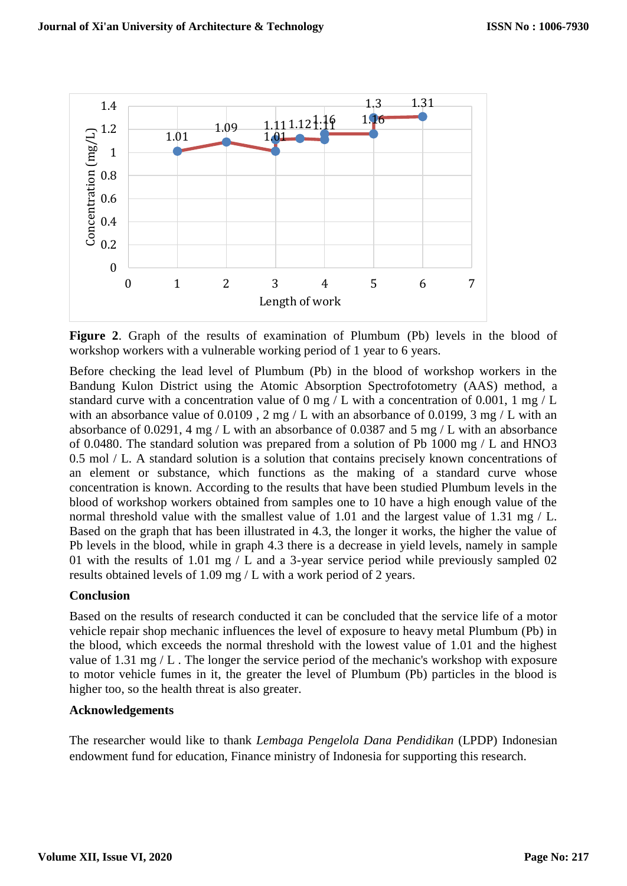

**Figure 2**. Graph of the results of examination of Plumbum (Pb) levels in the blood of workshop workers with a vulnerable working period of 1 year to 6 years.

Before checking the lead level of Plumbum (Pb) in the blood of workshop workers in the Bandung Kulon District using the Atomic Absorption Spectrofotometry (AAS) method, a standard curve with a concentration value of 0 mg / L with a concentration of 0.001, 1 mg / L with an absorbance value of  $0.0109$ , 2 mg / L with an absorbance of 0.0199, 3 mg / L with an absorbance of 0.0291, 4 mg / L with an absorbance of 0.0387 and 5 mg / L with an absorbance of 0.0480. The standard solution was prepared from a solution of Pb 1000 mg / L and HNO3 0.5 mol / L. A standard solution is a solution that contains precisely known concentrations of an element or substance, which functions as the making of a standard curve whose concentration is known. According to the results that have been studied Plumbum levels in the blood of workshop workers obtained from samples one to 10 have a high enough value of the normal threshold value with the smallest value of 1.01 and the largest value of 1.31 mg  $/$  L. Based on the graph that has been illustrated in 4.3, the longer it works, the higher the value of Pb levels in the blood, while in graph 4.3 there is a decrease in yield levels, namely in sample 01 with the results of 1.01 mg / L and a 3-year service period while previously sampled 02 results obtained levels of 1.09 mg / L with a work period of 2 years.

#### **Conclusion**

Based on the results of research conducted it can be concluded that the service life of a motor vehicle repair shop mechanic influences the level of exposure to heavy metal Plumbum (Pb) in the blood, which exceeds the normal threshold with the lowest value of 1.01 and the highest value of 1.31 mg / L . The longer the service period of the mechanic's workshop with exposure to motor vehicle fumes in it, the greater the level of Plumbum (Pb) particles in the blood is higher too, so the health threat is also greater.

## **Acknowledgements**

The researcher would like to thank *Lembaga Pengelola Dana Pendidikan* (LPDP) Indonesian endowment fund for education, Finance ministry of Indonesia for supporting this research.